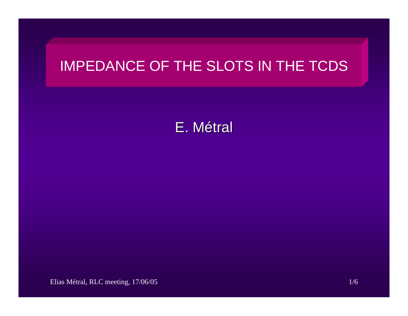## IMPEDANCE OF THE SLOTS IN THE TCDS

E. M étral

Elias Métral, RLC meeting, 17/06/05 1/6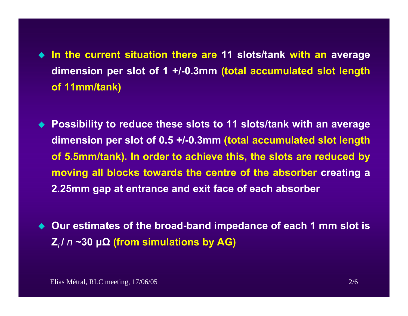- **In the current situation there are 11 slots/tank with an average dimension per slot of 1 +/-0.3mm (total accumulated slot length of 11mm/tank)**
- **Possibility to reduce these slots to 11 slots/tank with an average dimension per slot of 0.5 +/-0.3mm (total accumulated slot length of 5.5mm/tank). In order to achieve this, the slots are reduced by moving all blocks towards the centre of the absorber creating a 2.25mm gap at entrance and exit face of each absorber**
- ◆ Our estimates of the broad-band impedance of each 1 mm slot is **Z***l* **/**  *n* **~30 μΩ (from simulations by AG)**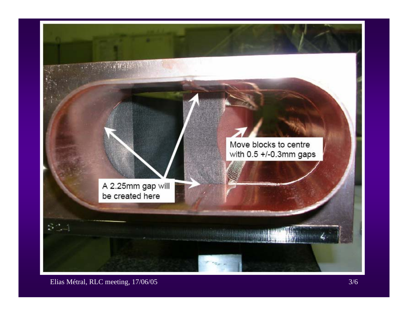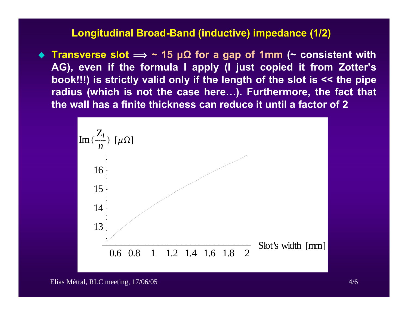## **Longitudinal Broad-Band (inductive) impedance (1/2)**

 **Transverse slot î ~ 15 μΩ for a gap of 1mm (~ consistent with AG), even if the formula I apply (I just copied it from Zotter's book!!!) is strictly valid only if the length of the slot is << the pipe radius (which is not the case here…). Furthermore, the fact that the wall has a finite thickness can reduce it until a factor of 2**

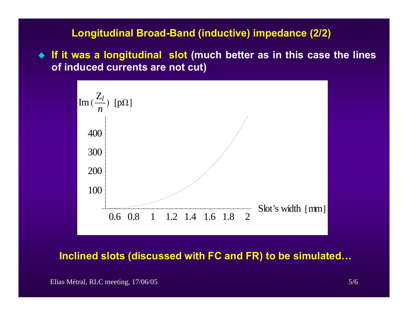## **Longitudinal Broad-Band (inductive) impedance (2/2)**

 **If it was a longitudinal slot (much better as in this case the lines of induced currents are not cut)**



**Inclined slots (discussed with FC and FR) to be simulated…**

Elias Métral, RLC meeting, 17/06/05 5/6